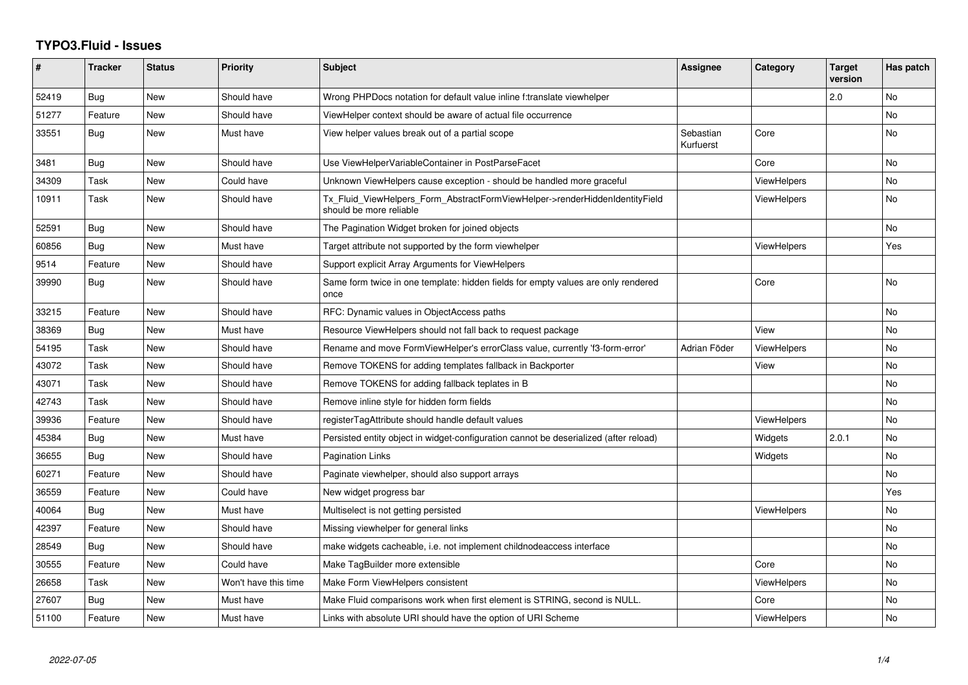## **TYPO3.Fluid - Issues**

| #     | <b>Tracker</b> | <b>Status</b> | <b>Priority</b>      | <b>Subject</b>                                                                                         | Assignee               | Category           | <b>Target</b><br>version | Has patch      |
|-------|----------------|---------------|----------------------|--------------------------------------------------------------------------------------------------------|------------------------|--------------------|--------------------------|----------------|
| 52419 | Bug            | <b>New</b>    | Should have          | Wrong PHPDocs notation for default value inline f:translate viewhelper                                 |                        |                    | 2.0                      | <b>No</b>      |
| 51277 | Feature        | New           | Should have          | ViewHelper context should be aware of actual file occurrence                                           |                        |                    |                          | No             |
| 33551 | Bug            | New           | Must have            | View helper values break out of a partial scope                                                        | Sebastian<br>Kurfuerst | Core               |                          | No             |
| 3481  | <b>Bug</b>     | New           | Should have          | Use ViewHelperVariableContainer in PostParseFacet                                                      |                        | Core               |                          | No             |
| 34309 | Task           | <b>New</b>    | Could have           | Unknown ViewHelpers cause exception - should be handled more graceful                                  |                        | <b>ViewHelpers</b> |                          | <b>No</b>      |
| 10911 | Task           | New           | Should have          | Tx_Fluid_ViewHelpers_Form_AbstractFormViewHelper->renderHiddenIdentityField<br>should be more reliable |                        | ViewHelpers        |                          | No             |
| 52591 | Bug            | New           | Should have          | The Pagination Widget broken for joined objects                                                        |                        |                    |                          | N <sub>o</sub> |
| 60856 | Bug            | <b>New</b>    | Must have            | Target attribute not supported by the form viewhelper                                                  |                        | <b>ViewHelpers</b> |                          | Yes            |
| 9514  | Feature        | New           | Should have          | Support explicit Array Arguments for ViewHelpers                                                       |                        |                    |                          |                |
| 39990 | Bug            | New           | Should have          | Same form twice in one template: hidden fields for empty values are only rendered<br>once              |                        | Core               |                          | No             |
| 33215 | Feature        | New           | Should have          | RFC: Dynamic values in ObjectAccess paths                                                              |                        |                    |                          | No             |
| 38369 | Bug            | <b>New</b>    | Must have            | Resource ViewHelpers should not fall back to request package                                           |                        | View               |                          | <b>No</b>      |
| 54195 | Task           | New           | Should have          | Rename and move FormViewHelper's errorClass value, currently 'f3-form-error'                           | Adrian Föder           | <b>ViewHelpers</b> |                          | <b>No</b>      |
| 43072 | Task           | <b>New</b>    | Should have          | Remove TOKENS for adding templates fallback in Backporter                                              |                        | View               |                          | No             |
| 43071 | Task           | New           | Should have          | Remove TOKENS for adding fallback teplates in B                                                        |                        |                    |                          | No             |
| 42743 | Task           | <b>New</b>    | Should have          | Remove inline style for hidden form fields                                                             |                        |                    |                          | N <sub>o</sub> |
| 39936 | Feature        | New           | Should have          | registerTagAttribute should handle default values                                                      |                        | ViewHelpers        |                          | <b>No</b>      |
| 45384 | Bug            | <b>New</b>    | Must have            | Persisted entity object in widget-configuration cannot be deserialized (after reload)                  |                        | Widgets            | 2.0.1                    | <b>No</b>      |
| 36655 | Bug            | New           | Should have          | <b>Pagination Links</b>                                                                                |                        | Widgets            |                          | No             |
| 60271 | Feature        | <b>New</b>    | Should have          | Paginate viewhelper, should also support arrays                                                        |                        |                    |                          | <b>No</b>      |
| 36559 | Feature        | New           | Could have           | New widget progress bar                                                                                |                        |                    |                          | Yes            |
| 40064 | Bug            | <b>New</b>    | Must have            | Multiselect is not getting persisted                                                                   |                        | <b>ViewHelpers</b> |                          | <b>No</b>      |
| 42397 | Feature        | New           | Should have          | Missing viewhelper for general links                                                                   |                        |                    |                          | No             |
| 28549 | Bug            | New           | Should have          | make widgets cacheable, i.e. not implement childnodeaccess interface                                   |                        |                    |                          | <b>No</b>      |
| 30555 | Feature        | New           | Could have           | Make TagBuilder more extensible                                                                        |                        | Core               |                          | No             |
| 26658 | Task           | New           | Won't have this time | Make Form ViewHelpers consistent                                                                       |                        | <b>ViewHelpers</b> |                          | <b>No</b>      |
| 27607 | Bug            | New           | Must have            | Make Fluid comparisons work when first element is STRING, second is NULL.                              |                        | Core               |                          | No             |
| 51100 | Feature        | New           | Must have            | Links with absolute URI should have the option of URI Scheme                                           |                        | <b>ViewHelpers</b> |                          | No.            |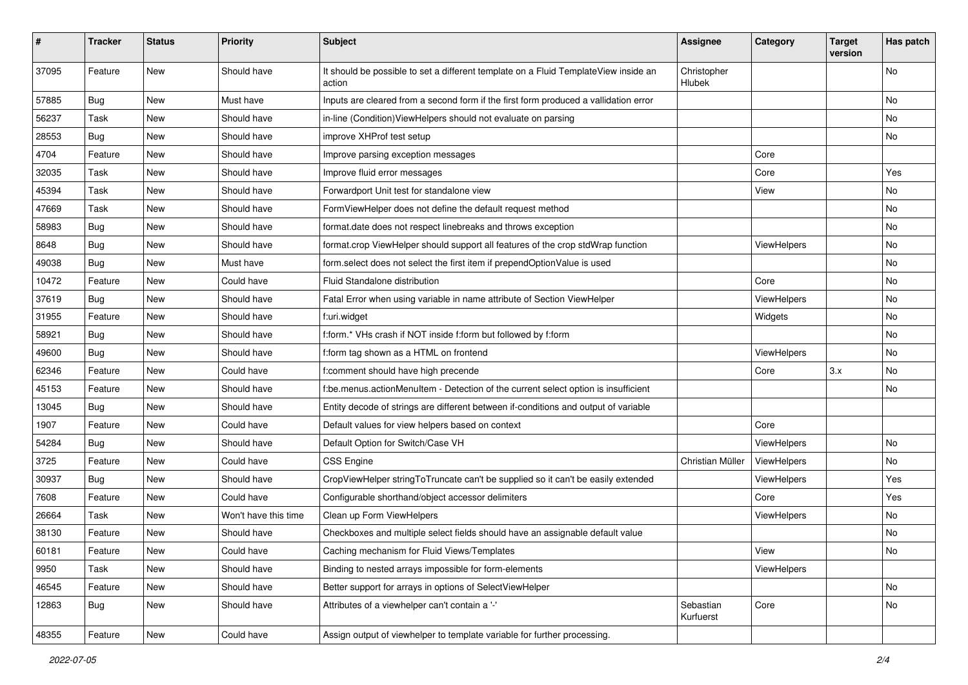| #     | <b>Tracker</b> | <b>Status</b> | Priority             | <b>Subject</b>                                                                                | <b>Assignee</b>        | Category    | <b>Target</b><br>version | Has patch |
|-------|----------------|---------------|----------------------|-----------------------------------------------------------------------------------------------|------------------------|-------------|--------------------------|-----------|
| 37095 | Feature        | New           | Should have          | It should be possible to set a different template on a Fluid TemplateView inside an<br>action | Christopher<br>Hlubek  |             |                          | <b>No</b> |
| 57885 | Bug            | New           | Must have            | Inputs are cleared from a second form if the first form produced a vallidation error          |                        |             |                          | <b>No</b> |
| 56237 | Task           | New           | Should have          | in-line (Condition) View Helpers should not evaluate on parsing                               |                        |             |                          | <b>No</b> |
| 28553 | Bug            | New           | Should have          | improve XHProf test setup                                                                     |                        |             |                          | No        |
| 4704  | Feature        | <b>New</b>    | Should have          | Improve parsing exception messages                                                            |                        | Core        |                          |           |
| 32035 | Task           | New           | Should have          | Improve fluid error messages                                                                  |                        | Core        |                          | Yes       |
| 45394 | Task           | New           | Should have          | Forwardport Unit test for standalone view                                                     |                        | View        |                          | No        |
| 47669 | Task           | <b>New</b>    | Should have          | FormViewHelper does not define the default request method                                     |                        |             |                          | No        |
| 58983 | Bug            | New           | Should have          | format.date does not respect linebreaks and throws exception                                  |                        |             |                          | No        |
| 8648  | Bug            | New           | Should have          | format.crop ViewHelper should support all features of the crop stdWrap function               |                        | ViewHelpers |                          | <b>No</b> |
| 49038 | Bug            | New           | Must have            | form.select does not select the first item if prependOptionValue is used                      |                        |             |                          | No        |
| 10472 | Feature        | New           | Could have           | Fluid Standalone distribution                                                                 |                        | Core        |                          | No        |
| 37619 | Bug            | New           | Should have          | Fatal Error when using variable in name attribute of Section ViewHelper                       |                        | ViewHelpers |                          | No        |
| 31955 | Feature        | New           | Should have          | f:uri.widget                                                                                  |                        | Widgets     |                          | No        |
| 58921 | Bug            | New           | Should have          | f:form.* VHs crash if NOT inside f:form but followed by f:form                                |                        |             |                          | No        |
| 49600 | Bug            | New           | Should have          | f:form tag shown as a HTML on frontend                                                        |                        | ViewHelpers |                          | No        |
| 62346 | Feature        | New           | Could have           | f:comment should have high precende                                                           |                        | Core        | 3.x                      | No        |
| 45153 | Feature        | <b>New</b>    | Should have          | f:be.menus.actionMenuItem - Detection of the current select option is insufficient            |                        |             |                          | <b>No</b> |
| 13045 | Bug            | New           | Should have          | Entity decode of strings are different between if-conditions and output of variable           |                        |             |                          |           |
| 1907  | Feature        | New           | Could have           | Default values for view helpers based on context                                              |                        | Core        |                          |           |
| 54284 | Bug            | New           | Should have          | Default Option for Switch/Case VH                                                             |                        | ViewHelpers |                          | No        |
| 3725  | Feature        | New           | Could have           | <b>CSS Engine</b>                                                                             | Christian Müller       | ViewHelpers |                          | No        |
| 30937 | Bug            | <b>New</b>    | Should have          | CropViewHelper stringToTruncate can't be supplied so it can't be easily extended              |                        | ViewHelpers |                          | Yes       |
| 7608  | Feature        | New           | Could have           | Configurable shorthand/object accessor delimiters                                             |                        | Core        |                          | Yes       |
| 26664 | Task           | New           | Won't have this time | Clean up Form ViewHelpers                                                                     |                        | ViewHelpers |                          | No        |
| 38130 | Feature        | New           | Should have          | Checkboxes and multiple select fields should have an assignable default value                 |                        |             |                          | No        |
| 60181 | Feature        | New           | Could have           | Caching mechanism for Fluid Views/Templates                                                   |                        | View        |                          | No        |
| 9950  | Task           | New           | Should have          | Binding to nested arrays impossible for form-elements                                         |                        | ViewHelpers |                          |           |
| 46545 | Feature        | New           | Should have          | Better support for arrays in options of SelectViewHelper                                      |                        |             |                          | No        |
| 12863 | <b>Bug</b>     | New           | Should have          | Attributes of a viewhelper can't contain a '-'                                                | Sebastian<br>Kurfuerst | Core        |                          | No        |
| 48355 | Feature        | New           | Could have           | Assign output of viewhelper to template variable for further processing.                      |                        |             |                          |           |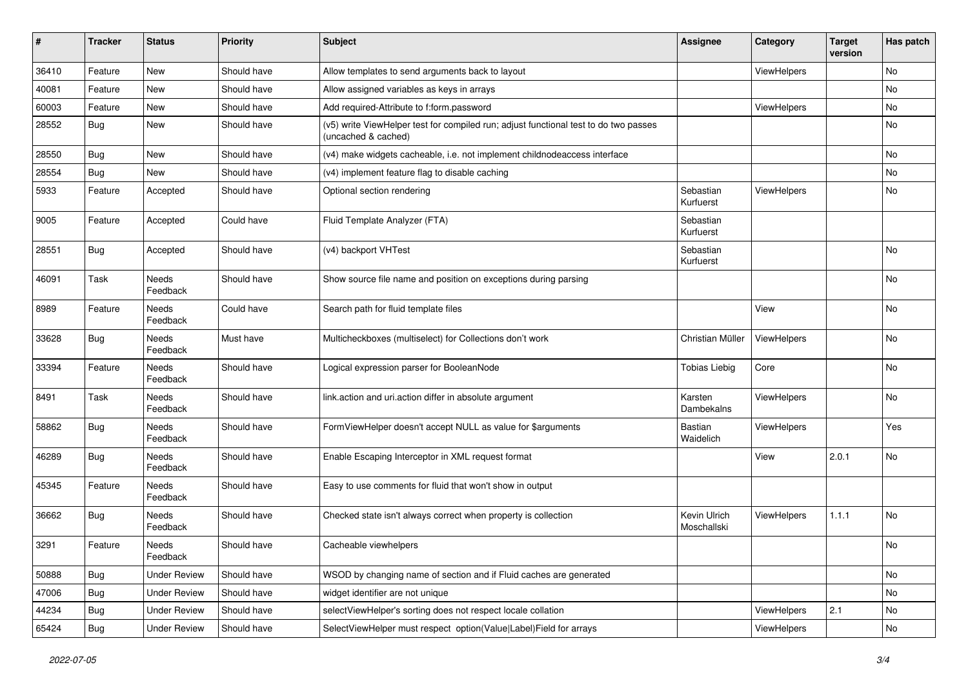| #     | <b>Tracker</b> | <b>Status</b>       | <b>Priority</b> | Subject                                                                                                     | <b>Assignee</b>             | Category    | <b>Target</b><br>version | Has patch |
|-------|----------------|---------------------|-----------------|-------------------------------------------------------------------------------------------------------------|-----------------------------|-------------|--------------------------|-----------|
| 36410 | Feature        | New                 | Should have     | Allow templates to send arguments back to layout                                                            |                             | ViewHelpers |                          | No        |
| 40081 | Feature        | New                 | Should have     | Allow assigned variables as keys in arrays                                                                  |                             |             |                          | No        |
| 60003 | Feature        | New                 | Should have     | Add required-Attribute to f:form.password                                                                   |                             | ViewHelpers |                          | No        |
| 28552 | Bug            | New                 | Should have     | (v5) write ViewHelper test for compiled run; adjust functional test to do two passes<br>(uncached & cached) |                             |             |                          | No        |
| 28550 | <b>Bug</b>     | New                 | Should have     | (v4) make widgets cacheable, i.e. not implement childnodeaccess interface                                   |                             |             |                          | <b>No</b> |
| 28554 | Bug            | New                 | Should have     | (v4) implement feature flag to disable caching                                                              |                             |             |                          | No        |
| 5933  | Feature        | Accepted            | Should have     | Optional section rendering                                                                                  | Sebastian<br>Kurfuerst      | ViewHelpers |                          | No        |
| 9005  | Feature        | Accepted            | Could have      | Fluid Template Analyzer (FTA)                                                                               | Sebastian<br>Kurfuerst      |             |                          |           |
| 28551 | <b>Bug</b>     | Accepted            | Should have     | (v4) backport VHTest                                                                                        | Sebastian<br>Kurfuerst      |             |                          | No        |
| 46091 | Task           | Needs<br>Feedback   | Should have     | Show source file name and position on exceptions during parsing                                             |                             |             |                          | No        |
| 8989  | Feature        | Needs<br>Feedback   | Could have      | Search path for fluid template files                                                                        |                             | View        |                          | No        |
| 33628 | Bug            | Needs<br>Feedback   | Must have       | Multicheckboxes (multiselect) for Collections don't work                                                    | Christian Müller            | ViewHelpers |                          | No        |
| 33394 | Feature        | Needs<br>Feedback   | Should have     | Logical expression parser for BooleanNode                                                                   | <b>Tobias Liebig</b>        | Core        |                          | No        |
| 8491  | Task           | Needs<br>Feedback   | Should have     | link.action and uri.action differ in absolute argument                                                      | Karsten<br>Dambekalns       | ViewHelpers |                          | No        |
| 58862 | Bug            | Needs<br>Feedback   | Should have     | FormViewHelper doesn't accept NULL as value for \$arguments                                                 | <b>Bastian</b><br>Waidelich | ViewHelpers |                          | Yes       |
| 46289 | <b>Bug</b>     | Needs<br>Feedback   | Should have     | Enable Escaping Interceptor in XML request format                                                           |                             | View        | 2.0.1                    | No        |
| 45345 | Feature        | Needs<br>Feedback   | Should have     | Easy to use comments for fluid that won't show in output                                                    |                             |             |                          |           |
| 36662 | Bug            | Needs<br>Feedback   | Should have     | Checked state isn't always correct when property is collection                                              | Kevin Ulrich<br>Moschallski | ViewHelpers | 1.1.1                    | <b>No</b> |
| 3291  | Feature        | Needs<br>Feedback   | Should have     | Cacheable viewhelpers                                                                                       |                             |             |                          | No        |
| 50888 | <b>Bug</b>     | <b>Under Review</b> | Should have     | WSOD by changing name of section and if Fluid caches are generated                                          |                             |             |                          | No        |
| 47006 | <b>Bug</b>     | <b>Under Review</b> | Should have     | widget identifier are not unique                                                                            |                             |             |                          | No        |
| 44234 | <b>Bug</b>     | <b>Under Review</b> | Should have     | selectViewHelper's sorting does not respect locale collation                                                |                             | ViewHelpers | 2.1                      | No        |
| 65424 | Bug            | <b>Under Review</b> | Should have     | SelectViewHelper must respect option(Value Label)Field for arrays                                           |                             | ViewHelpers |                          | No        |